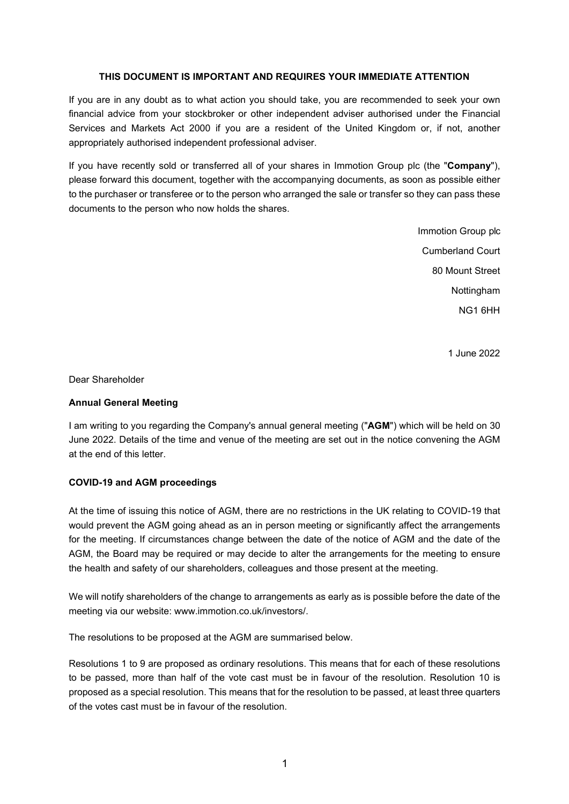### THIS DOCUMENT IS IMPORTANT AND REQUIRES YOUR IMMEDIATE ATTENTION

If you are in any doubt as to what action you should take, you are recommended to seek your own financial advice from your stockbroker or other independent adviser authorised under the Financial Services and Markets Act 2000 if you are a resident of the United Kingdom or, if not, another appropriately authorised independent professional adviser.

If you have recently sold or transferred all of your shares in Immotion Group plc (the "Company"), please forward this document, together with the accompanying documents, as soon as possible either to the purchaser or transferee or to the person who arranged the sale or transfer so they can pass these documents to the person who now holds the shares.

> Immotion Group plc Cumberland Court 80 Mount Street Nottingham NG1 6HH

> > 1 June 2022

Dear Shareholder

### Annual General Meeting

I am writing to you regarding the Company's annual general meeting ("AGM") which will be held on 30 June 2022. Details of the time and venue of the meeting are set out in the notice convening the AGM at the end of this letter.

# COVID-19 and AGM proceedings

At the time of issuing this notice of AGM, there are no restrictions in the UK relating to COVID-19 that would prevent the AGM going ahead as an in person meeting or significantly affect the arrangements for the meeting. If circumstances change between the date of the notice of AGM and the date of the AGM, the Board may be required or may decide to alter the arrangements for the meeting to ensure the health and safety of our shareholders, colleagues and those present at the meeting.

We will notify shareholders of the change to arrangements as early as is possible before the date of the meeting via our website: www.immotion.co.uk/investors/.

The resolutions to be proposed at the AGM are summarised below.

Resolutions 1 to 9 are proposed as ordinary resolutions. This means that for each of these resolutions to be passed, more than half of the vote cast must be in favour of the resolution. Resolution 10 is proposed as a special resolution. This means that for the resolution to be passed, at least three quarters of the votes cast must be in favour of the resolution.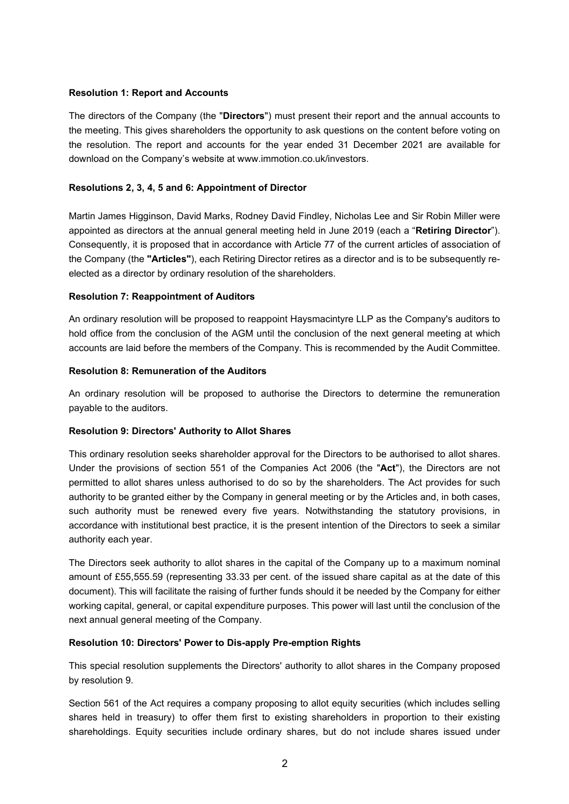### Resolution 1: Report and Accounts

The directors of the Company (the "Directors") must present their report and the annual accounts to the meeting. This gives shareholders the opportunity to ask questions on the content before voting on the resolution. The report and accounts for the year ended 31 December 2021 are available for download on the Company's website at www.immotion.co.uk/investors.

## Resolutions 2, 3, 4, 5 and 6: Appointment of Director

Martin James Higginson, David Marks, Rodney David Findley, Nicholas Lee and Sir Robin Miller were appointed as directors at the annual general meeting held in June 2019 (each a "Retiring Director"). Consequently, it is proposed that in accordance with Article 77 of the current articles of association of the Company (the "Articles"), each Retiring Director retires as a director and is to be subsequently reelected as a director by ordinary resolution of the shareholders.

### Resolution 7: Reappointment of Auditors

An ordinary resolution will be proposed to reappoint Haysmacintyre LLP as the Company's auditors to hold office from the conclusion of the AGM until the conclusion of the next general meeting at which accounts are laid before the members of the Company. This is recommended by the Audit Committee.

### Resolution 8: Remuneration of the Auditors

An ordinary resolution will be proposed to authorise the Directors to determine the remuneration payable to the auditors.

#### Resolution 9: Directors' Authority to Allot Shares

This ordinary resolution seeks shareholder approval for the Directors to be authorised to allot shares. Under the provisions of section 551 of the Companies Act 2006 (the "Act"), the Directors are not permitted to allot shares unless authorised to do so by the shareholders. The Act provides for such authority to be granted either by the Company in general meeting or by the Articles and, in both cases, such authority must be renewed every five years. Notwithstanding the statutory provisions, in accordance with institutional best practice, it is the present intention of the Directors to seek a similar authority each year.

The Directors seek authority to allot shares in the capital of the Company up to a maximum nominal amount of £55,555.59 (representing 33.33 per cent. of the issued share capital as at the date of this document). This will facilitate the raising of further funds should it be needed by the Company for either working capital, general, or capital expenditure purposes. This power will last until the conclusion of the next annual general meeting of the Company.

#### Resolution 10: Directors' Power to Dis-apply Pre-emption Rights

This special resolution supplements the Directors' authority to allot shares in the Company proposed by resolution 9.

Section 561 of the Act requires a company proposing to allot equity securities (which includes selling shares held in treasury) to offer them first to existing shareholders in proportion to their existing shareholdings. Equity securities include ordinary shares, but do not include shares issued under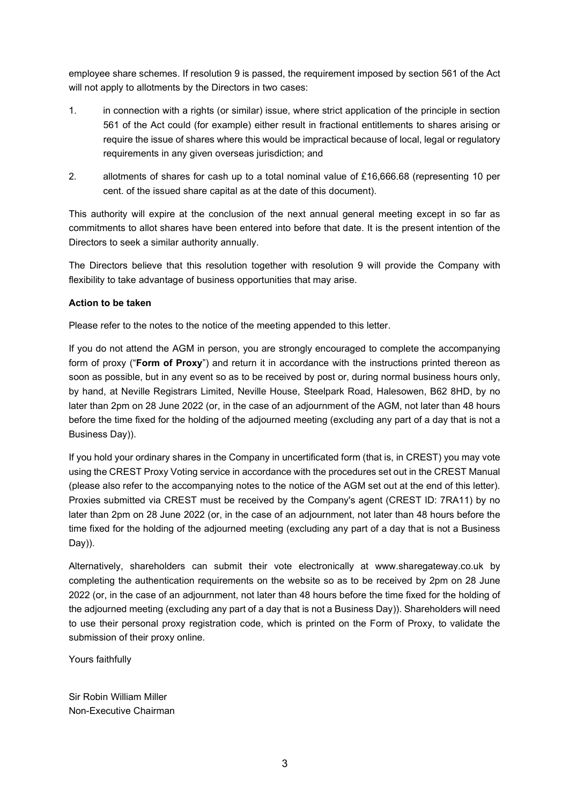employee share schemes. If resolution 9 is passed, the requirement imposed by section 561 of the Act will not apply to allotments by the Directors in two cases:

- 1. in connection with a rights (or similar) issue, where strict application of the principle in section 561 of the Act could (for example) either result in fractional entitlements to shares arising or require the issue of shares where this would be impractical because of local, legal or regulatory requirements in any given overseas jurisdiction; and
- 2. allotments of shares for cash up to a total nominal value of £16,666.68 (representing 10 per cent. of the issued share capital as at the date of this document).

This authority will expire at the conclusion of the next annual general meeting except in so far as commitments to allot shares have been entered into before that date. It is the present intention of the Directors to seek a similar authority annually.

The Directors believe that this resolution together with resolution 9 will provide the Company with flexibility to take advantage of business opportunities that may arise.

### Action to be taken

Please refer to the notes to the notice of the meeting appended to this letter.

If you do not attend the AGM in person, you are strongly encouraged to complete the accompanying form of proxy ("Form of Proxy") and return it in accordance with the instructions printed thereon as soon as possible, but in any event so as to be received by post or, during normal business hours only, by hand, at Neville Registrars Limited, Neville House, Steelpark Road, Halesowen, B62 8HD, by no later than 2pm on 28 June 2022 (or, in the case of an adjournment of the AGM, not later than 48 hours before the time fixed for the holding of the adjourned meeting (excluding any part of a day that is not a Business Day)).

If you hold your ordinary shares in the Company in uncertificated form (that is, in CREST) you may vote using the CREST Proxy Voting service in accordance with the procedures set out in the CREST Manual (please also refer to the accompanying notes to the notice of the AGM set out at the end of this letter). Proxies submitted via CREST must be received by the Company's agent (CREST ID: 7RA11) by no later than 2pm on 28 June 2022 (or, in the case of an adjournment, not later than 48 hours before the time fixed for the holding of the adjourned meeting (excluding any part of a day that is not a Business Day)).

Alternatively, shareholders can submit their vote electronically at www.sharegateway.co.uk by completing the authentication requirements on the website so as to be received by 2pm on 28 June 2022 (or, in the case of an adjournment, not later than 48 hours before the time fixed for the holding of the adjourned meeting (excluding any part of a day that is not a Business Day)). Shareholders will need to use their personal proxy registration code, which is printed on the Form of Proxy, to validate the submission of their proxy online.

Yours faithfully

Sir Robin William Miller Non-Executive Chairman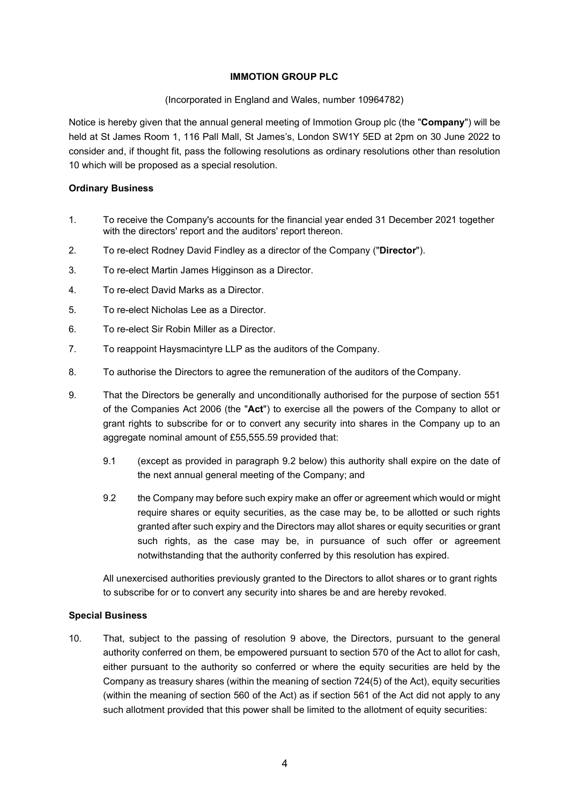### IMMOTION GROUP PLC

(Incorporated in England and Wales, number 10964782)

Notice is hereby given that the annual general meeting of Immotion Group plc (the "Company") will be held at St James Room 1, 116 Pall Mall, St James's, London SW1Y 5ED at 2pm on 30 June 2022 to consider and, if thought fit, pass the following resolutions as ordinary resolutions other than resolution 10 which will be proposed as a special resolution.

#### Ordinary Business

- 1. To receive the Company's accounts for the financial year ended 31 December 2021 together with the directors' report and the auditors' report thereon.
- 2. To re-elect Rodney David Findley as a director of the Company ("Director").
- 3. To re-elect Martin James Higginson as a Director.
- 4. To re-elect David Marks as a Director.
- 5. To re-elect Nicholas Lee as a Director.
- 6. To re-elect Sir Robin Miller as a Director.
- 7. To reappoint Haysmacintyre LLP as the auditors of the Company.
- 8. To authorise the Directors to agree the remuneration of the auditors of the Company.
- 9. That the Directors be generally and unconditionally authorised for the purpose of section 551 of the Companies Act 2006 (the "Act") to exercise all the powers of the Company to allot or grant rights to subscribe for or to convert any security into shares in the Company up to an aggregate nominal amount of £55,555.59 provided that:
	- 9.1 (except as provided in paragraph 9.2 below) this authority shall expire on the date of the next annual general meeting of the Company; and
	- 9.2 the Company may before such expiry make an offer or agreement which would or might require shares or equity securities, as the case may be, to be allotted or such rights granted after such expiry and the Directors may allot shares or equity securities or grant such rights, as the case may be, in pursuance of such offer or agreement notwithstanding that the authority conferred by this resolution has expired.

All unexercised authorities previously granted to the Directors to allot shares or to grant rights to subscribe for or to convert any security into shares be and are hereby revoked.

#### Special Business

10. That, subject to the passing of resolution 9 above, the Directors, pursuant to the general authority conferred on them, be empowered pursuant to section 570 of the Act to allot for cash, either pursuant to the authority so conferred or where the equity securities are held by the Company as treasury shares (within the meaning of section 724(5) of the Act), equity securities (within the meaning of section 560 of the Act) as if section 561 of the Act did not apply to any such allotment provided that this power shall be limited to the allotment of equity securities: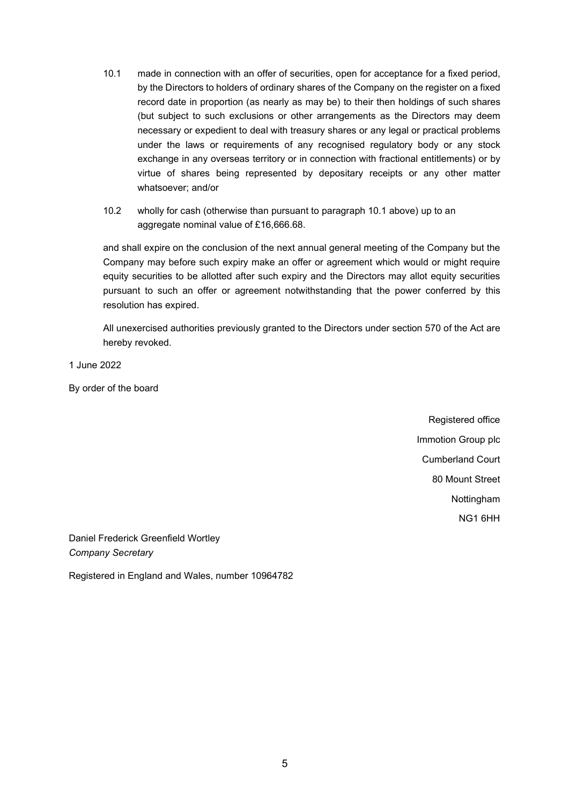- 10.1 made in connection with an offer of securities, open for acceptance for a fixed period, by the Directors to holders of ordinary shares of the Company on the register on a fixed record date in proportion (as nearly as may be) to their then holdings of such shares (but subject to such exclusions or other arrangements as the Directors may deem necessary or expedient to deal with treasury shares or any legal or practical problems under the laws or requirements of any recognised regulatory body or any stock exchange in any overseas territory or in connection with fractional entitlements) or by virtue of shares being represented by depositary receipts or any other matter whatsoever; and/or
- 10.2 wholly for cash (otherwise than pursuant to paragraph 10.1 above) up to an aggregate nominal value of £16,666.68.

and shall expire on the conclusion of the next annual general meeting of the Company but the Company may before such expiry make an offer or agreement which would or might require equity securities to be allotted after such expiry and the Directors may allot equity securities pursuant to such an offer or agreement notwithstanding that the power conferred by this resolution has expired.

All unexercised authorities previously granted to the Directors under section 570 of the Act are hereby revoked.

1 June 2022

By order of the board

Registered office Immotion Group plc Cumberland Court 80 Mount Street Nottingham NG1 6HH

Daniel Frederick Greenfield Wortley Company Secretary

Registered in England and Wales, number 10964782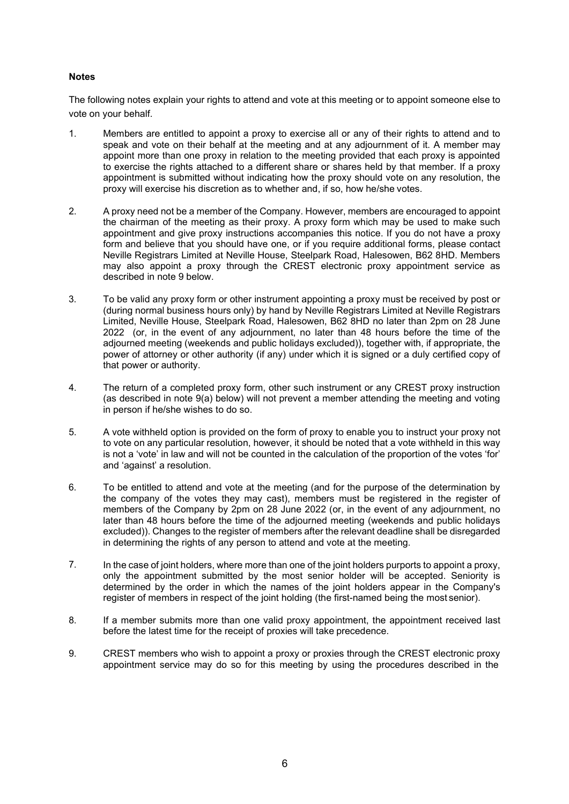#### **Notes**

The following notes explain your rights to attend and vote at this meeting or to appoint someone else to vote on your behalf.

- 1. Members are entitled to appoint a proxy to exercise all or any of their rights to attend and to speak and vote on their behalf at the meeting and at any adjournment of it. A member may appoint more than one proxy in relation to the meeting provided that each proxy is appointed to exercise the rights attached to a different share or shares held by that member. If a proxy appointment is submitted without indicating how the proxy should vote on any resolution, the proxy will exercise his discretion as to whether and, if so, how he/she votes.
- 2. A proxy need not be a member of the Company. However, members are encouraged to appoint the chairman of the meeting as their proxy. A proxy form which may be used to make such appointment and give proxy instructions accompanies this notice. If you do not have a proxy form and believe that you should have one, or if you require additional forms, please contact Neville Registrars Limited at Neville House, Steelpark Road, Halesowen, B62 8HD. Members may also appoint a proxy through the CREST electronic proxy appointment service as described in note 9 below.
- 3. To be valid any proxy form or other instrument appointing a proxy must be received by post or (during normal business hours only) by hand by Neville Registrars Limited at Neville Registrars Limited, Neville House, Steelpark Road, Halesowen, B62 8HD no later than 2pm on 28 June 2022 (or, in the event of any adjournment, no later than 48 hours before the time of the adjourned meeting (weekends and public holidays excluded)), together with, if appropriate, the power of attorney or other authority (if any) under which it is signed or a duly certified copy of that power or authority.
- 4. The return of a completed proxy form, other such instrument or any CREST proxy instruction (as described in note 9(a) below) will not prevent a member attending the meeting and voting in person if he/she wishes to do so.
- 5. A vote withheld option is provided on the form of proxy to enable you to instruct your proxy not to vote on any particular resolution, however, it should be noted that a vote withheld in this way is not a 'vote' in law and will not be counted in the calculation of the proportion of the votes 'for' and 'against' a resolution.
- 6. To be entitled to attend and vote at the meeting (and for the purpose of the determination by the company of the votes they may cast), members must be registered in the register of members of the Company by 2pm on 28 June 2022 (or, in the event of any adjournment, no later than 48 hours before the time of the adjourned meeting (weekends and public holidays excluded)). Changes to the register of members after the relevant deadline shall be disregarded in determining the rights of any person to attend and vote at the meeting.
- 7. In the case of joint holders, where more than one of the joint holders purports to appoint a proxy, only the appointment submitted by the most senior holder will be accepted. Seniority is determined by the order in which the names of the joint holders appear in the Company's register of members in respect of the joint holding (the first-named being the most senior).
- 8. If a member submits more than one valid proxy appointment, the appointment received last before the latest time for the receipt of proxies will take precedence.
- 9. CREST members who wish to appoint a proxy or proxies through the CREST electronic proxy appointment service may do so for this meeting by using the procedures described in the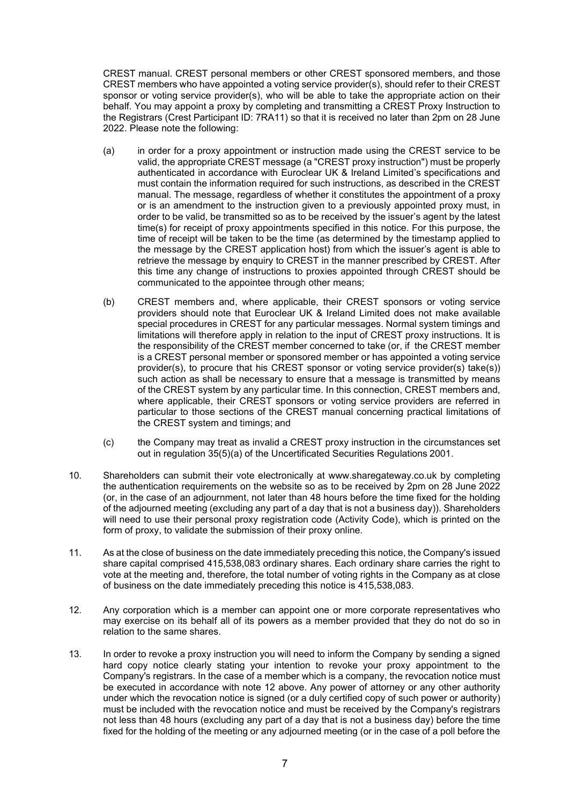CREST manual. CREST personal members or other CREST sponsored members, and those CREST members who have appointed a voting service provider(s), should refer to their CREST sponsor or voting service provider(s), who will be able to take the appropriate action on their behalf. You may appoint a proxy by completing and transmitting a CREST Proxy Instruction to the Registrars (Crest Participant ID: 7RA11) so that it is received no later than 2pm on 28 June 2022. Please note the following:

- (a) in order for a proxy appointment or instruction made using the CREST service to be valid, the appropriate CREST message (a "CREST proxy instruction") must be properly authenticated in accordance with Euroclear UK & Ireland Limited's specifications and must contain the information required for such instructions, as described in the CREST manual. The message, regardless of whether it constitutes the appointment of a proxy or is an amendment to the instruction given to a previously appointed proxy must, in order to be valid, be transmitted so as to be received by the issuer's agent by the latest time(s) for receipt of proxy appointments specified in this notice. For this purpose, the time of receipt will be taken to be the time (as determined by the timestamp applied to the message by the CREST application host) from which the issuer's agent is able to retrieve the message by enquiry to CREST in the manner prescribed by CREST. After this time any change of instructions to proxies appointed through CREST should be communicated to the appointee through other means;
- (b) CREST members and, where applicable, their CREST sponsors or voting service providers should note that Euroclear UK & Ireland Limited does not make available special procedures in CREST for any particular messages. Normal system timings and limitations will therefore apply in relation to the input of CREST proxy instructions. It is the responsibility of the CREST member concerned to take (or, if the CREST member is a CREST personal member or sponsored member or has appointed a voting service provider(s), to procure that his CREST sponsor or voting service provider(s) take(s)) such action as shall be necessary to ensure that a message is transmitted by means of the CREST system by any particular time. In this connection, CREST members and, where applicable, their CREST sponsors or voting service providers are referred in particular to those sections of the CREST manual concerning practical limitations of the CREST system and timings; and
- (c) the Company may treat as invalid a CREST proxy instruction in the circumstances set out in regulation 35(5)(a) of the Uncertificated Securities Regulations 2001.
- 10. Shareholders can submit their vote electronically at www.sharegateway.co.uk by completing the authentication requirements on the website so as to be received by 2pm on 28 June 2022 (or, in the case of an adjournment, not later than 48 hours before the time fixed for the holding of the adjourned meeting (excluding any part of a day that is not a business day)). Shareholders will need to use their personal proxy registration code (Activity Code), which is printed on the form of proxy, to validate the submission of their proxy online.
- 11. As at the close of business on the date immediately preceding this notice, the Company's issued share capital comprised 415,538,083 ordinary shares. Each ordinary share carries the right to vote at the meeting and, therefore, the total number of voting rights in the Company as at close of business on the date immediately preceding this notice is 415,538,083.
- 12. Any corporation which is a member can appoint one or more corporate representatives who may exercise on its behalf all of its powers as a member provided that they do not do so in relation to the same shares.
- 13. In order to revoke a proxy instruction you will need to inform the Company by sending a signed hard copy notice clearly stating your intention to revoke your proxy appointment to the Company's registrars. In the case of a member which is a company, the revocation notice must be executed in accordance with note 12 above. Any power of attorney or any other authority under which the revocation notice is signed (or a duly certified copy of such power or authority) must be included with the revocation notice and must be received by the Company's registrars not less than 48 hours (excluding any part of a day that is not a business day) before the time fixed for the holding of the meeting or any adjourned meeting (or in the case of a poll before the